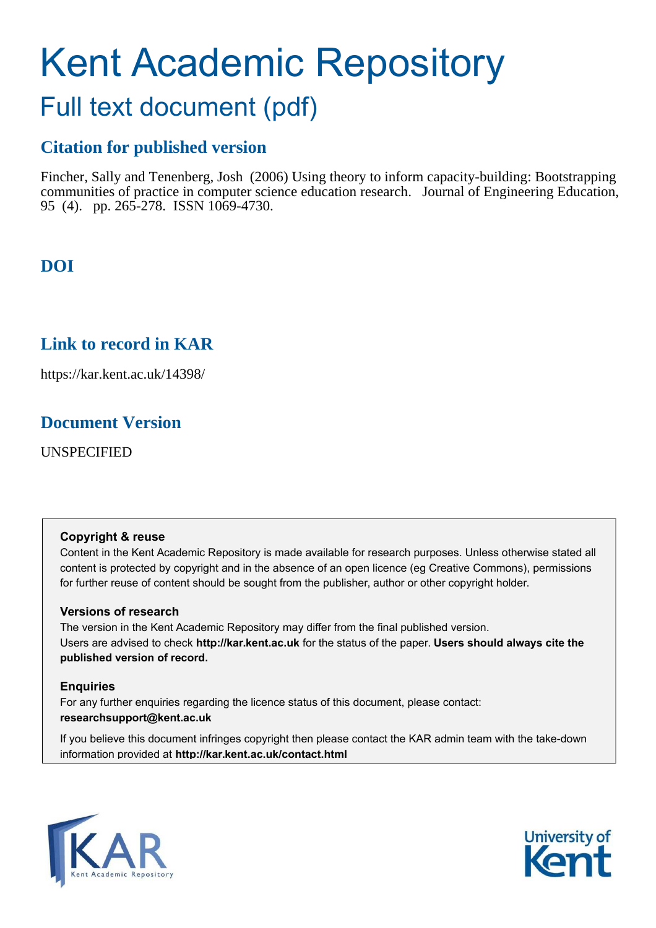# Kent Academic Repository

# Full text document (pdf)

# **Citation for published version**

Fincher, Sally and Tenenberg, Josh (2006) Using theory to inform capacity-building: Bootstrapping communities of practice in computer science education research. Journal of Engineering Education, 95 (4). pp. 265-278. ISSN 1069-4730.

# **DOI**

# **Link to record in KAR**

https://kar.kent.ac.uk/14398/

### **Document Version**

UNSPECIFIED

#### **Copyright & reuse**

Content in the Kent Academic Repository is made available for research purposes. Unless otherwise stated all content is protected by copyright and in the absence of an open licence (eg Creative Commons), permissions for further reuse of content should be sought from the publisher, author or other copyright holder.

#### **Versions of research**

The version in the Kent Academic Repository may differ from the final published version. Users are advised to check **http://kar.kent.ac.uk** for the status of the paper. **Users should always cite the published version of record.**

#### **Enquiries**

For any further enquiries regarding the licence status of this document, please contact: **researchsupport@kent.ac.uk**

If you believe this document infringes copyright then please contact the KAR admin team with the take-down information provided at **http://kar.kent.ac.uk/contact.html**



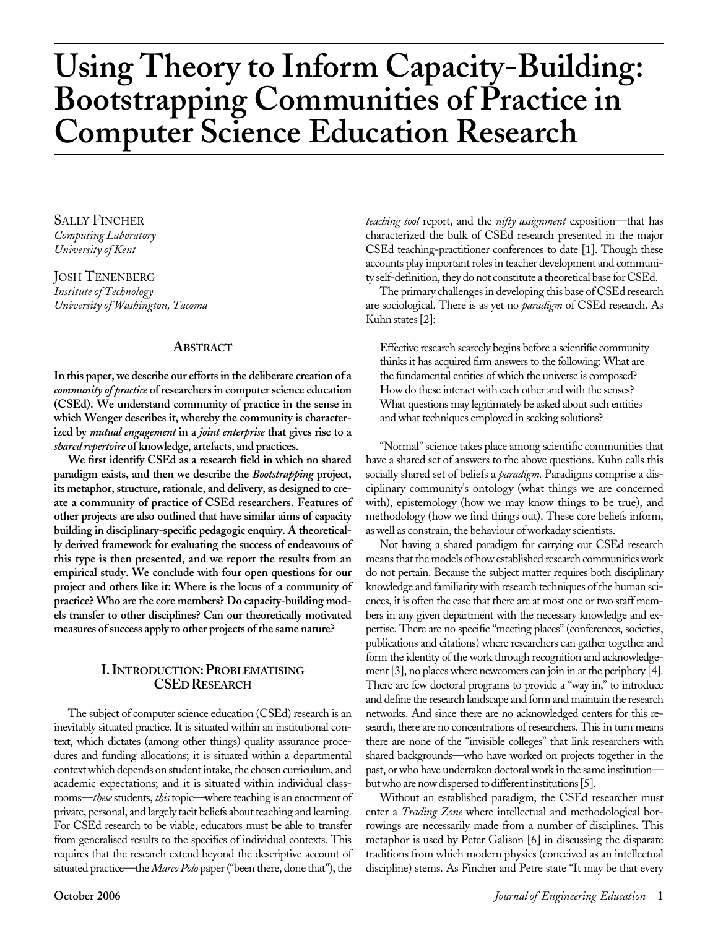# **Using Theory to Inform Capacity-Building: Bootstrapping Communities of Practice in Computer Science Education Research**

SALLY FINCHER *Computing Laboratory University of Kent*

JOSH TENENBERG *Institute of Technology University of Washington, Tacoma*

#### **ABSTRACT**

**In this paper, we describe our efforts in the deliberate creation of a** *community of practice* **of researchers in computer science education (CSEd). We understand community of practice in the sense in which Wenger describes it, whereby the community is characterized by** *mutual engagement* **in a** *joint enterprise* **that gives rise to a** *shared repertoire* **of knowledge, artefacts, and practices.** 

**We first identify CSEd as a research field in which no shared paradigm exists, and then we describe the** *Bootstrapping* **project, its metaphor, structure, rationale, and delivery, as designed to create a community of practice of CSEd researchers. Features of other projects are also outlined that have similar aims of capacity building in disciplinary-specific pedagogic enquiry. A theoretically derived framework for evaluating the success of endeavours of this type is then presented, and we report the results from an empirical study. We conclude with four open questions for our project and others like it: Where is the locus of a community of practice? Who are the core members? Do capacity-building models transfer to other disciplines? Can our theoretically motivated measures of success apply to other projects of the same nature?**

#### **I. INTRODUCTION: PROBLEMATISING CSED RESEARCH**

The subject of computer science education (CSEd) research is an inevitably situated practice. It is situated within an institutional context, which dictates (among other things) quality assurance procedures and funding allocations; it is situated within a departmental context which depends on student intake, the chosen curriculum, and academic expectations; and it is situated within individual classrooms—*these* students, *this* topic—where teaching is an enactment of private, personal, and largely tacit beliefs about teaching and learning. For CSEd research to be viable, educators must be able to transfer from generalised results to the specifics of individual contexts. This requires that the research extend beyond the descriptive account of situated practice—the *Marco Polo* paper ("been there, done that"), the

*teaching tool* report, and the *nifty assignment* exposition—that has characterized the bulk of CSEd research presented in the major CSEd teaching-practitioner conferences to date [1]. Though these accounts play important roles in teacher development and community self-definition, they do not constitute a theoretical base for CSEd.

The primary challenges in developing this base of CSEd research are sociological. There is as yet no *paradigm* of CSEd research. As Kuhn states [2]:

Effective research scarcely begins before a scientific community thinks it has acquired firm answers to the following: What are the fundamental entities of which the universe is composed? How do these interact with each other and with the senses? What questions may legitimately be asked about such entities and what techniques employed in seeking solutions?

"Normal" science takes place among scientific communities that have a shared set of answers to the above questions. Kuhn calls this socially shared set of beliefs a *paradigm.* Paradigms comprise a disciplinary community's ontology (what things we are concerned with), epistemology (how we may know things to be true), and methodology (how we find things out). These core beliefs inform, as well as constrain, the behaviour of workaday scientists.

Not having a shared paradigm for carrying out CSEd research means that the models of how established research communities work do not pertain. Because the subject matter requires both disciplinary knowledge and familiarity with research techniques of the human sciences, it is often the case that there are at most one or two staff members in any given department with the necessary knowledge and expertise. There are no specific "meeting places" (conferences, societies, publications and citations) where researchers can gather together and form the identity of the work through recognition and acknowledgement [3], no places where newcomers can join in at the periphery [4]. There are few doctoral programs to provide a "way in," to introduce and define the research landscape and form and maintain the research networks. And since there are no acknowledged centers for this research, there are no concentrations of researchers. This in turn means there are none of the "invisible colleges" that link researchers with shared backgrounds—who have worked on projects together in the past, or who have undertaken doctoral work in the same institution but who are now dispersed to different institutions [5].

Without an established paradigm, the CSEd researcher must enter a *Trading Zone* where intellectual and methodological borrowings are necessarily made from a number of disciplines. This metaphor is used by Peter Galison [6] in discussing the disparate traditions from which modern physics (conceived as an intellectual discipline) stems. As Fincher and Petre state "It may be that every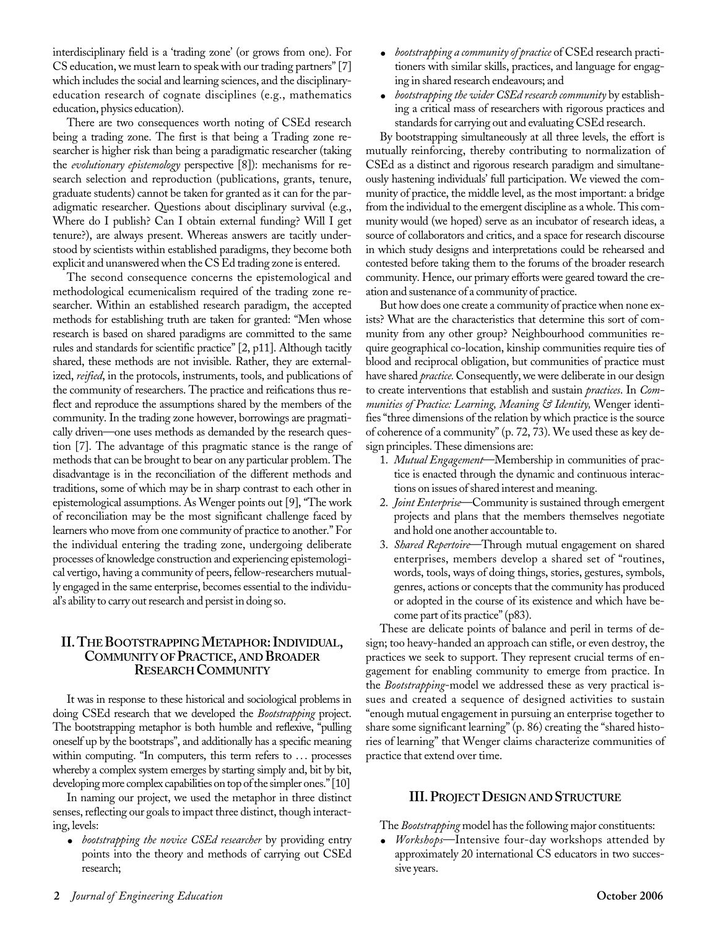interdisciplinary field is a 'trading zone' (or grows from one). For CS education, we must learn to speak with our trading partners" [7] which includes the social and learning sciences, and the disciplinaryeducation research of cognate disciplines (e.g., mathematics education, physics education).

There are two consequences worth noting of CSEd research being a trading zone. The first is that being a Trading zone researcher is higher risk than being a paradigmatic researcher (taking the *evolutionary epistemology* perspective [8]): mechanisms for research selection and reproduction (publications, grants, tenure, graduate students) cannot be taken for granted as it can for the paradigmatic researcher. Questions about disciplinary survival (e.g., Where do I publish? Can I obtain external funding? Will I get tenure?), are always present. Whereas answers are tacitly understood by scientists within established paradigms, they become both explicit and unanswered when the CS Ed trading zone is entered.

The second consequence concerns the epistemological and methodological ecumenicalism required of the trading zone researcher. Within an established research paradigm, the accepted methods for establishing truth are taken for granted: "Men whose research is based on shared paradigms are committed to the same rules and standards for scientific practice" [2, p11]. Although tacitly shared, these methods are not invisible. Rather, they are externalized, *reified*, in the protocols, instruments, tools, and publications of the community of researchers. The practice and reifications thus reflect and reproduce the assumptions shared by the members of the community. In the trading zone however, borrowings are pragmatically driven—one uses methods as demanded by the research question [7]. The advantage of this pragmatic stance is the range of methods that can be brought to bear on any particular problem. The disadvantage is in the reconciliation of the different methods and traditions, some of which may be in sharp contrast to each other in epistemological assumptions. As Wenger points out [9], "The work of reconciliation may be the most significant challenge faced by learners who move from one community of practice to another." For the individual entering the trading zone, undergoing deliberate processes of knowledge construction and experiencing epistemological vertigo, having a community of peers, fellow-researchers mutually engaged in the same enterprise, becomes essential to the individual's ability to carry out research and persist in doing so.

#### **II. THEBOOTSTRAPPINGMETAPHOR: INDIVIDUAL, COMMUNITY OF PRACTICE, AND BROADER RESEARCH COMMUNITY**

It was in response to these historical and sociological problems in doing CSEd research that we developed the *Bootstrapping* project. The bootstrapping metaphor is both humble and reflexive, "pulling oneself up by the bootstraps", and additionally has a specific meaning within computing. "In computers, this term refers to ... processes whereby a complex system emerges by starting simply and, bit by bit, developing more complex capabilities on top of the simpler ones." [10]

In naming our project, we used the metaphor in three distinct senses, reflecting our goals to impact three distinct, though interacting, levels:

• *bootstrapping the novice CSEd researcher* by providing entry points into the theory and methods of carrying out CSEd research;

- *bootstrapping a community of practice* of CSEd research practitioners with similar skills, practices, and language for engaging in shared research endeavours; and
- *bootstrapping the wider CSEd research community* by establishing a critical mass of researchers with rigorous practices and standards for carrying out and evaluating CSEd research.

By bootstrapping simultaneously at all three levels, the effort is mutually reinforcing, thereby contributing to normalization of CSEd as a distinct and rigorous research paradigm and simultaneously hastening individuals' full participation. We viewed the community of practice, the middle level, as the most important: a bridge from the individual to the emergent discipline as a whole. This community would (we hoped) serve as an incubator of research ideas, a source of collaborators and critics, and a space for research discourse in which study designs and interpretations could be rehearsed and contested before taking them to the forums of the broader research community. Hence, our primary efforts were geared toward the creation and sustenance of a community of practice.

But how does one create a community of practice when none exists? What are the characteristics that determine this sort of community from any other group? Neighbourhood communities require geographical co-location, kinship communities require ties of blood and reciprocal obligation, but communities of practice must have shared *practice.* Consequently, we were deliberate in our design to create interventions that establish and sustain *practices*. In *Communities of Practice: Learning, Meaning & Identity,* Wenger identifies "three dimensions of the relation by which practice is the source of coherence of a community" (p. 72, 73). We used these as key design principles. These dimensions are:

- 1. *Mutual Engagement*—Membership in communities of practice is enacted through the dynamic and continuous interactions on issues of shared interest and meaning.
- 2. *Joint Enterprise*—Community is sustained through emergent projects and plans that the members themselves negotiate and hold one another accountable to.
- 3. *Shared Repertoire*—Through mutual engagement on shared enterprises, members develop a shared set of "routines, words, tools, ways of doing things, stories, gestures, symbols, genres, actions or concepts that the community has produced or adopted in the course of its existence and which have become part of its practice" (p83).

These are delicate points of balance and peril in terms of design; too heavy-handed an approach can stifle, or even destroy, the practices we seek to support. They represent crucial terms of engagement for enabling community to emerge from practice. In the *Bootstrapping*-model we addressed these as very practical issues and created a sequence of designed activities to sustain "enough mutual engagement in pursuing an enterprise together to share some significant learning" (p. 86) creating the "shared histories of learning" that Wenger claims characterize communities of practice that extend over time.

#### **III. PROJECTDESIGN AND STRUCTURE**

The *Bootstrapping* model has the following major constituents:

● *Workshops*—Intensive four-day workshops attended by approximately 20 international CS educators in two successive years.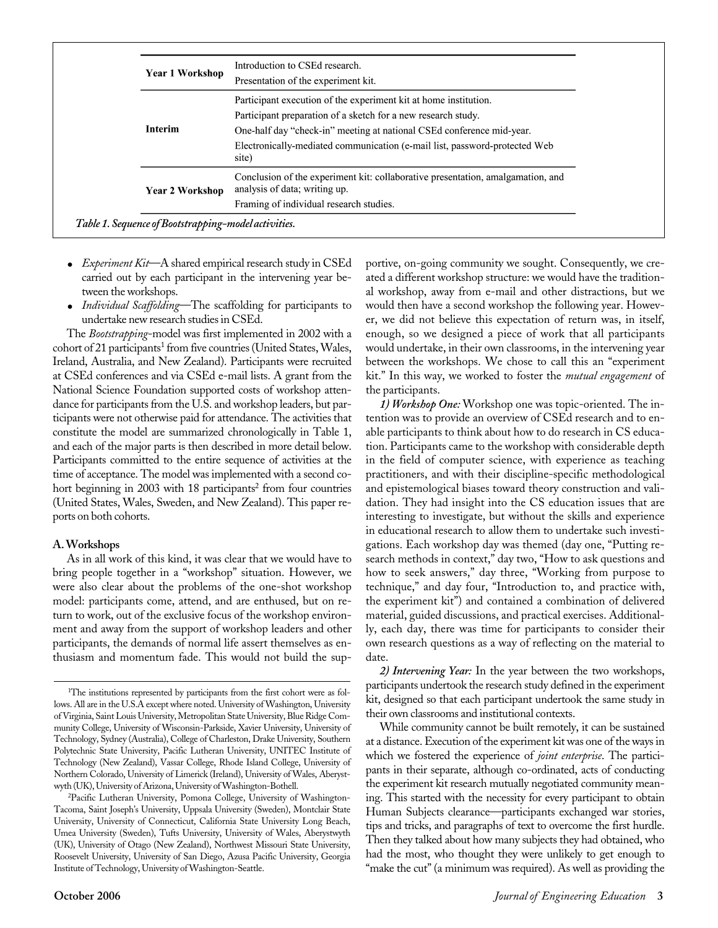| <b>Year 1 Workshop</b> | Introduction to CSEd research.                                                                                   |
|------------------------|------------------------------------------------------------------------------------------------------------------|
| <b>Interim</b>         | Presentation of the experiment kit.                                                                              |
|                        | Participant execution of the experiment kit at home institution.                                                 |
|                        | Participant preparation of a sketch for a new research study.                                                    |
|                        | One-half day "check-in" meeting at national CSEd conference mid-year.                                            |
|                        | Electronically-mediated communication (e-mail list, password-protected Web<br>site)                              |
| <b>Year 2 Workshop</b> | Conclusion of the experiment kit: collaborative presentation, amalgamation, and<br>analysis of data; writing up. |
|                        | Framing of individual research studies.                                                                          |

- *Experiment Kit*—A shared empirical research study in CSEd carried out by each participant in the intervening year between the workshops.
- *Individual Scaffolding*—The scaffolding for participants to undertake new research studies in CSEd.

The *Bootstrapping*-model was first implemented in 2002 with a cohort of 21 participants<sup>1</sup> from five countries (United States, Wales, Ireland, Australia, and New Zealand). Participants were recruited at CSEd conferences and via CSEd e-mail lists. A grant from the National Science Foundation supported costs of workshop attendance for participants from the U.S. and workshop leaders, but participants were not otherwise paid for attendance. The activities that constitute the model are summarized chronologically in Table 1, and each of the major parts is then described in more detail below. Participants committed to the entire sequence of activities at the time of acceptance. The model was implemented with a second cohort beginning in 2003 with 18 participants<sup>2</sup> from four countries (United States, Wales, Sweden, and New Zealand). This paper reports on both cohorts.

#### **A. Workshops**

As in all work of this kind, it was clear that we would have to bring people together in a "workshop" situation. However, we were also clear about the problems of the one-shot workshop model: participants come, attend, and are enthused, but on return to work, out of the exclusive focus of the workshop environment and away from the support of workshop leaders and other participants, the demands of normal life assert themselves as enthusiasm and momentum fade. This would not build the supportive, on-going community we sought. Consequently, we created a different workshop structure: we would have the traditional workshop, away from e-mail and other distractions, but we would then have a second workshop the following year. However, we did not believe this expectation of return was, in itself, enough, so we designed a piece of work that all participants would undertake, in their own classrooms, in the intervening year between the workshops. We chose to call this an "experiment kit." In this way, we worked to foster the *mutual engagement* of the participants.

*1) Workshop One:* Workshop one was topic-oriented. The intention was to provide an overview of CSEd research and to enable participants to think about how to do research in CS education. Participants came to the workshop with considerable depth in the field of computer science, with experience as teaching practitioners, and with their discipline-specific methodological and epistemological biases toward theory construction and validation. They had insight into the CS education issues that are interesting to investigate, but without the skills and experience in educational research to allow them to undertake such investigations. Each workshop day was themed (day one, "Putting research methods in context," day two, "How to ask questions and how to seek answers," day three, "Working from purpose to technique," and day four, "Introduction to, and practice with, the experiment kit") and contained a combination of delivered material, guided discussions, and practical exercises. Additionally, each day, there was time for participants to consider their own research questions as a way of reflecting on the material to date.

*2) Intervening Year:* In the year between the two workshops, participants undertook the research study defined in the experiment kit, designed so that each participant undertook the same study in their own classrooms and institutional contexts.

While community cannot be built remotely, it can be sustained at a distance. Execution of the experiment kit was one of the ways in which we fostered the experience of *joint enterprise*. The participants in their separate, although co-ordinated, acts of conducting the experiment kit research mutually negotiated community meaning. This started with the necessity for every participant to obtain Human Subjects clearance—participants exchanged war stories, tips and tricks, and paragraphs of text to overcome the first hurdle. Then they talked about how many subjects they had obtained, who had the most, who thought they were unlikely to get enough to "make the cut" (a minimum was required). As well as providing the

<sup>&</sup>lt;sup>1</sup>The institutions represented by participants from the first cohort were as follows. All are in the U.S.A except where noted. University of Washington, University of Virginia, Saint Louis University, Metropolitan State University, Blue Ridge Community College, University of Wisconsin-Parkside, Xavier University, University of Technology, Sydney (Australia), College of Charleston, Drake University, Southern Polytechnic State University, Pacific Lutheran University, UNITEC Institute of Technology (New Zealand), Vassar College, Rhode Island College, University of Northern Colorado, University of Limerick (Ireland), University of Wales, Aberystwyth (UK), University of Arizona, University of Washington-Bothell.

<sup>2</sup>Pacific Lutheran University, Pomona College, University of Washington-Tacoma, Saint Joseph's University, Uppsala University (Sweden), Montclair State University, University of Connecticut, California State University Long Beach, Umea University (Sweden), Tufts University, University of Wales, Aberystwyth (UK), University of Otago (New Zealand), Northwest Missouri State University, Roosevelt University, University of San Diego, Azusa Pacific University, Georgia Institute of Technology, University of Washington-Seattle.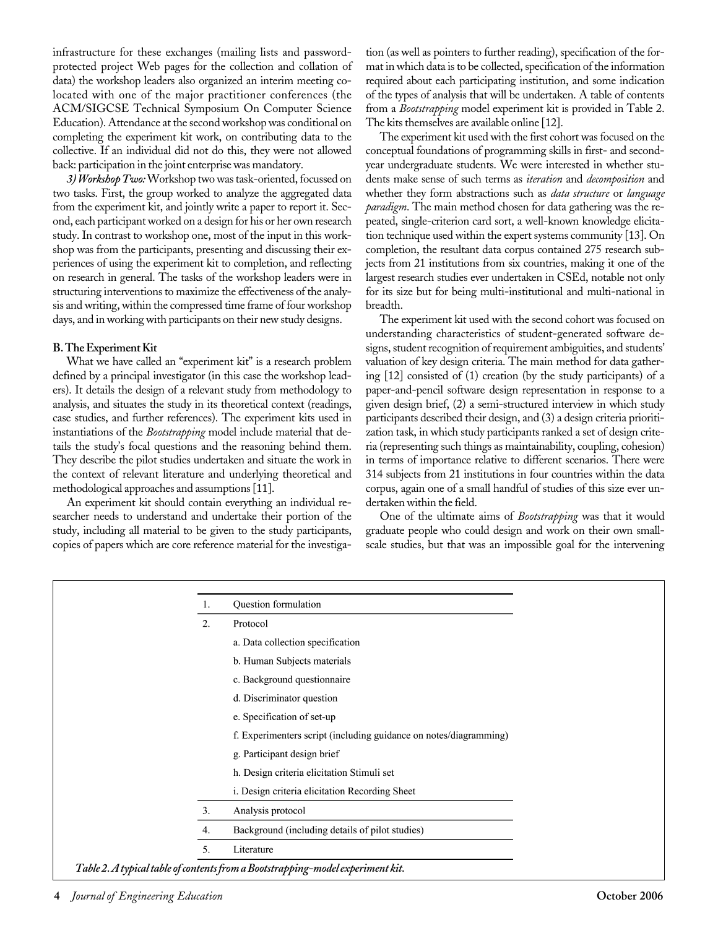infrastructure for these exchanges (mailing lists and passwordprotected project Web pages for the collection and collation of data) the workshop leaders also organized an interim meeting colocated with one of the major practitioner conferences (the ACM/SIGCSE Technical Symposium On Computer Science Education). Attendance at the second workshop was conditional on completing the experiment kit work, on contributing data to the collective. If an individual did not do this, they were not allowed back: participation in the joint enterprise was mandatory.

*3) Workshop Two:*Workshop two was task-oriented, focussed on two tasks. First, the group worked to analyze the aggregated data from the experiment kit, and jointly write a paper to report it. Second, each participant worked on a design for his or her own research study. In contrast to workshop one, most of the input in this workshop was from the participants, presenting and discussing their experiences of using the experiment kit to completion, and reflecting on research in general. The tasks of the workshop leaders were in structuring interventions to maximize the effectiveness of the analysis and writing, within the compressed time frame of four workshop days, and in working with participants on their new study designs.

#### **B. The Experiment Kit**

What we have called an "experiment kit" is a research problem defined by a principal investigator (in this case the workshop leaders). It details the design of a relevant study from methodology to analysis, and situates the study in its theoretical context (readings, case studies, and further references). The experiment kits used in instantiations of the *Bootstrapping* model include material that details the study's focal questions and the reasoning behind them. They describe the pilot studies undertaken and situate the work in the context of relevant literature and underlying theoretical and methodological approaches and assumptions [11].

An experiment kit should contain everything an individual researcher needs to understand and undertake their portion of the study, including all material to be given to the study participants, copies of papers which are core reference material for the investigation (as well as pointers to further reading), specification of the format in which data is to be collected, specification of the information required about each participating institution, and some indication of the types of analysis that will be undertaken. A table of contents from a *Bootstrapping* model experiment kit is provided in Table 2. The kits themselves are available online [12].

The experiment kit used with the first cohort was focused on the conceptual foundations of programming skills in first- and secondyear undergraduate students. We were interested in whether students make sense of such terms as *iteration* and *decomposition* and whether they form abstractions such as *data structure* or *language paradigm*. The main method chosen for data gathering was the repeated, single-criterion card sort, a well-known knowledge elicitation technique used within the expert systems community [13]. On completion, the resultant data corpus contained 275 research subjects from 21 institutions from six countries, making it one of the largest research studies ever undertaken in CSEd, notable not only for its size but for being multi-institutional and multi-national in breadth.

The experiment kit used with the second cohort was focused on understanding characteristics of student-generated software designs, student recognition of requirement ambiguities, and students' valuation of key design criteria. The main method for data gathering [12] consisted of (1) creation (by the study participants) of a paper-and-pencil software design representation in response to a given design brief, (2) a semi-structured interview in which study participants described their design, and (3) a design criteria prioritization task, in which study participants ranked a set of design criteria (representing such things as maintainability, coupling, cohesion) in terms of importance relative to different scenarios. There were 314 subjects from 21 institutions in four countries within the data corpus, again one of a small handful of studies of this size ever undertaken within the field.

One of the ultimate aims of *Bootstrapping* was that it would graduate people who could design and work on their own smallscale studies, but that was an impossible goal for the intervening

| 1. | Question formulation                                              |
|----|-------------------------------------------------------------------|
| 2. | Protocol                                                          |
|    | a. Data collection specification                                  |
|    | b. Human Subjects materials                                       |
|    | c. Background questionnaire                                       |
|    | d. Discriminator question                                         |
|    | e. Specification of set-up                                        |
|    | f. Experimenters script (including guidance on notes/diagramming) |
|    | g. Participant design brief                                       |
|    | h. Design criteria elicitation Stimuli set                        |
|    | i. Design criteria elicitation Recording Sheet                    |
| 3. | Analysis protocol                                                 |
| 4. | Background (including details of pilot studies)                   |
| 5. | Literature                                                        |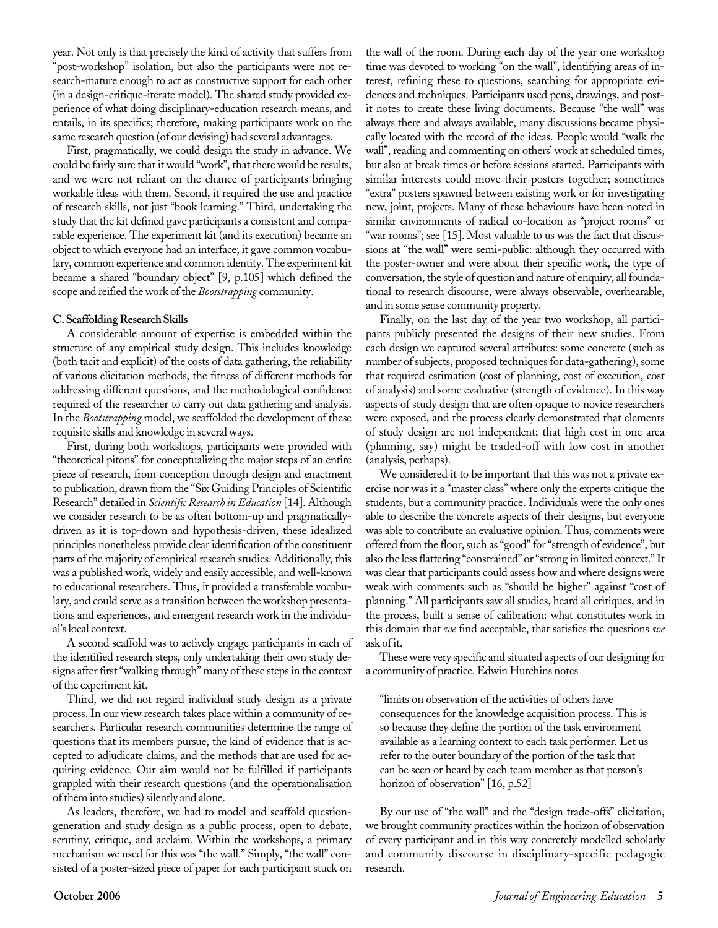year. Not only is that precisely the kind of activity that suffers from "post-workshop" isolation, but also the participants were not research-mature enough to act as constructive support for each other (in a design-critique-iterate model). The shared study provided experience of what doing disciplinary-education research means, and entails, in its specifics; therefore, making participants work on the same research question (of our devising) had several advantages.

First, pragmatically, we could design the study in advance. We could be fairly sure that it would "work", that there would be results, and we were not reliant on the chance of participants bringing workable ideas with them. Second, it required the use and practice of research skills, not just "book learning." Third, undertaking the study that the kit defined gave participants a consistent and comparable experience. The experiment kit (and its execution) became an object to which everyone had an interface; it gave common vocabulary, common experience and common identity. The experiment kit became a shared "boundary object" [9, p.105] which defined the scope and reified the work of the *Bootstrapping* community.

#### **C. Scaffolding Research Skills**

A considerable amount of expertise is embedded within the structure of any empirical study design. This includes knowledge (both tacit and explicit) of the costs of data gathering, the reliability of various elicitation methods, the fitness of different methods for addressing different questions, and the methodological confidence required of the researcher to carry out data gathering and analysis. In the *Bootstrapping* model, we scaffolded the development of these requisite skills and knowledge in several ways.

First, during both workshops, participants were provided with "theoretical pitons" for conceptualizing the major steps of an entire piece of research, from conception through design and enactment to publication, drawn from the "Six Guiding Principles of Scientific Research" detailed in *Scientific Research in Education* [14]. Although we consider research to be as often bottom-up and pragmaticallydriven as it is top-down and hypothesis-driven, these idealized principles nonetheless provide clear identification of the constituent parts of the majority of empirical research studies. Additionally, this was a published work, widely and easily accessible, and well-known to educational researchers. Thus, it provided a transferable vocabulary, and could serve as a transition between the workshop presentations and experiences, and emergent research work in the individual's local context.

A second scaffold was to actively engage participants in each of the identified research steps, only undertaking their own study designs after first "walking through" many of these steps in the context of the experiment kit.

Third, we did not regard individual study design as a private process. In our view research takes place within a community of researchers. Particular research communities determine the range of questions that its members pursue, the kind of evidence that is accepted to adjudicate claims, and the methods that are used for acquiring evidence. Our aim would not be fulfilled if participants grappled with their research questions (and the operationalisation of them into studies) silently and alone.

As leaders, therefore, we had to model and scaffold questiongeneration and study design as a public process, open to debate, scrutiny, critique, and acclaim. Within the workshops, a primary mechanism we used for this was "the wall." Simply, "the wall" consisted of a poster-sized piece of paper for each participant stuck on

the wall of the room. During each day of the year one workshop time was devoted to working "on the wall", identifying areas of interest, refining these to questions, searching for appropriate evidences and techniques. Participants used pens, drawings, and postit notes to create these living documents. Because "the wall" was always there and always available, many discussions became physically located with the record of the ideas. People would "walk the wall", reading and commenting on others' work at scheduled times, but also at break times or before sessions started. Participants with similar interests could move their posters together; sometimes "extra" posters spawned between existing work or for investigating new, joint, projects. Many of these behaviours have been noted in similar environments of radical co-location as "project rooms" or "war rooms"; see [15]. Most valuable to us was the fact that discussions at "the wall" were semi-public: although they occurred with the poster-owner and were about their specific work, the type of conversation, the style of question and nature of enquiry, all foundational to research discourse, were always observable, overhearable, and in some sense community property.

Finally, on the last day of the year two workshop, all participants publicly presented the designs of their new studies. From each design we captured several attributes: some concrete (such as number of subjects, proposed techniques for data-gathering), some that required estimation (cost of planning, cost of execution, cost of analysis) and some evaluative (strength of evidence). In this way aspects of study design that are often opaque to novice researchers were exposed, and the process clearly demonstrated that elements of study design are not independent; that high cost in one area (planning, say) might be traded-off with low cost in another (analysis, perhaps).

We considered it to be important that this was not a private exercise nor was it a "master class" where only the experts critique the students, but a community practice. Individuals were the only ones able to describe the concrete aspects of their designs, but everyone was able to contribute an evaluative opinion. Thus, comments were offered from the floor, such as "good" for "strength of evidence", but also the less flattering "constrained" or "strong in limited context." It was clear that participants could assess how and where designs were weak with comments such as "should be higher" against "cost of planning." All participants saw all studies, heard all critiques, and in the process, built a sense of calibration: what constitutes work in this domain that *we* find acceptable, that satisfies the questions *we* ask of it.

These were very specific and situated aspects of our designing for a community of practice. Edwin Hutchins notes

"limits on observation of the activities of others have consequences for the knowledge acquisition process. This is so because they define the portion of the task environment available as a learning context to each task performer. Let us refer to the outer boundary of the portion of the task that can be seen or heard by each team member as that person's horizon of observation" [16, p.52]

By our use of "the wall" and the "design trade-offs" elicitation, we brought community practices within the horizon of observation of every participant and in this way concretely modelled scholarly and community discourse in disciplinary-specific pedagogic research.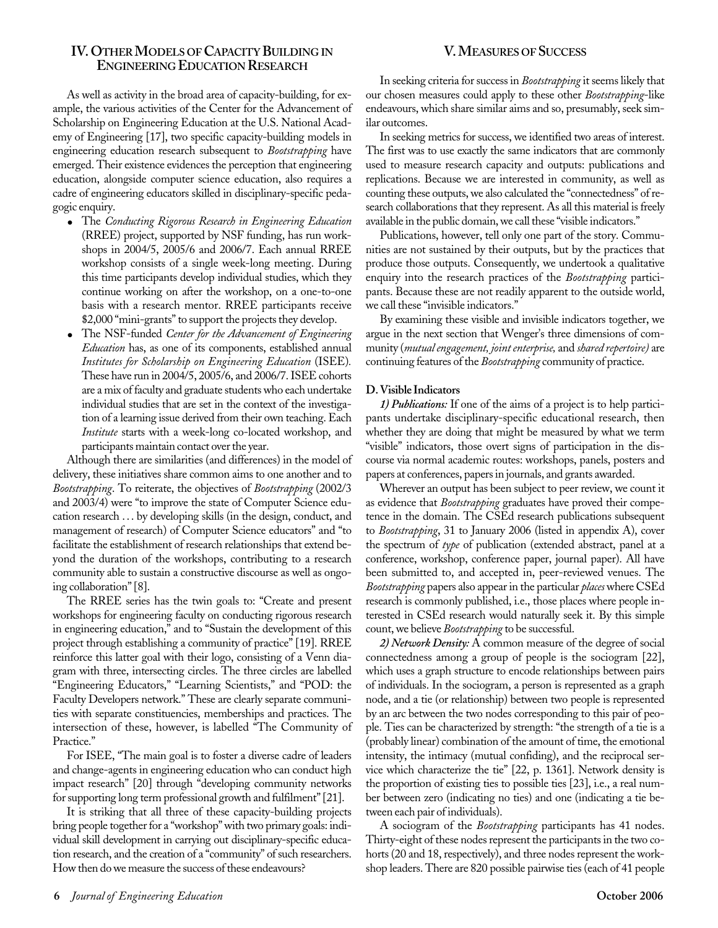#### **IV. OTHERMODELS OFCAPACITY BUILDING IN ENGINEERING EDUCATION RESEARCH**

As well as activity in the broad area of capacity-building, for example, the various activities of the Center for the Advancement of Scholarship on Engineering Education at the U.S. National Academy of Engineering [17], two specific capacity-building models in engineering education research subsequent to *Bootstrapping* have emerged. Their existence evidences the perception that engineering education, alongside computer science education, also requires a cadre of engineering educators skilled in disciplinary-specific pedagogic enquiry.

- The *Conducting Rigorous Research in Engineering Education* (RREE) project, supported by NSF funding, has run workshops in 2004/5, 2005/6 and 2006/7. Each annual RREE workshop consists of a single week-long meeting. During this time participants develop individual studies, which they continue working on after the workshop, on a one-to-one basis with a research mentor. RREE participants receive \$2,000 "mini-grants" to support the projects they develop.
- The NSF-funded *Center for the Advancement of Engineering Education* has, as one of its components, established annual *Institutes for Scholarship on Engineering Education* (ISEE)*.* These have run in 2004/5, 2005/6, and 2006/7. ISEE cohorts are a mix of faculty and graduate students who each undertake individual studies that are set in the context of the investigation of a learning issue derived from their own teaching. Each *Institute* starts with a week-long co-located workshop, and participants maintain contact over the year.

Although there are similarities (and differences) in the model of delivery, these initiatives share common aims to one another and to *Bootstrapping*. To reiterate, the objectives of *Bootstrapping* (2002/3 and 2003/4) were "to improve the state of Computer Science education research . . . by developing skills (in the design, conduct, and management of research) of Computer Science educators" and "to facilitate the establishment of research relationships that extend beyond the duration of the workshops, contributing to a research community able to sustain a constructive discourse as well as ongoing collaboration" [8].

The RREE series has the twin goals to: "Create and present workshops for engineering faculty on conducting rigorous research in engineering education," and to "Sustain the development of this project through establishing a community of practice" [19]. RREE reinforce this latter goal with their logo, consisting of a Venn diagram with three, intersecting circles. The three circles are labelled "Engineering Educators," "Learning Scientists," and "POD: the Faculty Developers network." These are clearly separate communities with separate constituencies, memberships and practices. The intersection of these, however, is labelled "The Community of Practice."

For ISEE, "The main goal is to foster a diverse cadre of leaders and change-agents in engineering education who can conduct high impact research" [20] through "developing community networks for supporting long term professional growth and fulfilment" [21].

It is striking that all three of these capacity-building projects bring people together for a "workshop" with two primary goals: individual skill development in carrying out disciplinary-specific education research, and the creation of a "community" of such researchers. How then do we measure the success of these endeavours?

#### **V. MEASURES OF SUCCESS**

In seeking criteria for success in *Bootstrapping* it seems likely that our chosen measures could apply to these other *Bootstrapping*-like endeavours, which share similar aims and so, presumably, seek similar outcomes.

In seeking metrics for success, we identified two areas of interest. The first was to use exactly the same indicators that are commonly used to measure research capacity and outputs: publications and replications. Because we are interested in community, as well as counting these outputs, we also calculated the "connectedness" of research collaborations that they represent. As all this material is freely available in the public domain, we call these "visible indicators."

Publications, however, tell only one part of the story. Communities are not sustained by their outputs, but by the practices that produce those outputs. Consequently, we undertook a qualitative enquiry into the research practices of the *Bootstrapping* participants. Because these are not readily apparent to the outside world, we call these "invisible indicators."

By examining these visible and invisible indicators together, we argue in the next section that Wenger's three dimensions of community (*mutual engagement, joint enterprise,* and *shared repertoire)* are continuing features of the *Bootstrapping* community of practice.

#### **D. Visible Indicators**

*1) Publications:* If one of the aims of a project is to help participants undertake disciplinary-specific educational research, then whether they are doing that might be measured by what we term "visible" indicators, those overt signs of participation in the discourse via normal academic routes: workshops, panels, posters and papers at conferences, papers in journals, and grants awarded.

Wherever an output has been subject to peer review, we count it as evidence that *Bootstrapping* graduates have proved their competence in the domain. The CSEd research publications subsequent to *Bootstrapping*, 31 to January 2006 (listed in appendix A), cover the spectrum of *type* of publication (extended abstract, panel at a conference, workshop, conference paper, journal paper). All have been submitted to, and accepted in, peer-reviewed venues. The *Bootstrapping* papers also appear in the particular *places*where CSEd research is commonly published, i.e., those places where people interested in CSEd research would naturally seek it. By this simple count, we believe *Bootstrapping* to be successful.

*2) Network Density:* A common measure of the degree of social connectedness among a group of people is the sociogram [22], which uses a graph structure to encode relationships between pairs of individuals. In the sociogram, a person is represented as a graph node, and a tie (or relationship) between two people is represented by an arc between the two nodes corresponding to this pair of people. Ties can be characterized by strength: "the strength of a tie is a (probably linear) combination of the amount of time, the emotional intensity, the intimacy (mutual confiding), and the reciprocal service which characterize the tie" [22, p. 1361]. Network density is the proportion of existing ties to possible ties [23], i.e., a real number between zero (indicating no ties) and one (indicating a tie between each pair of individuals).

A sociogram of the *Bootstrapping* participants has 41 nodes. Thirty-eight of these nodes represent the participants in the two cohorts (20 and 18, respectively), and three nodes represent the workshop leaders. There are 820 possible pairwise ties (each of 41 people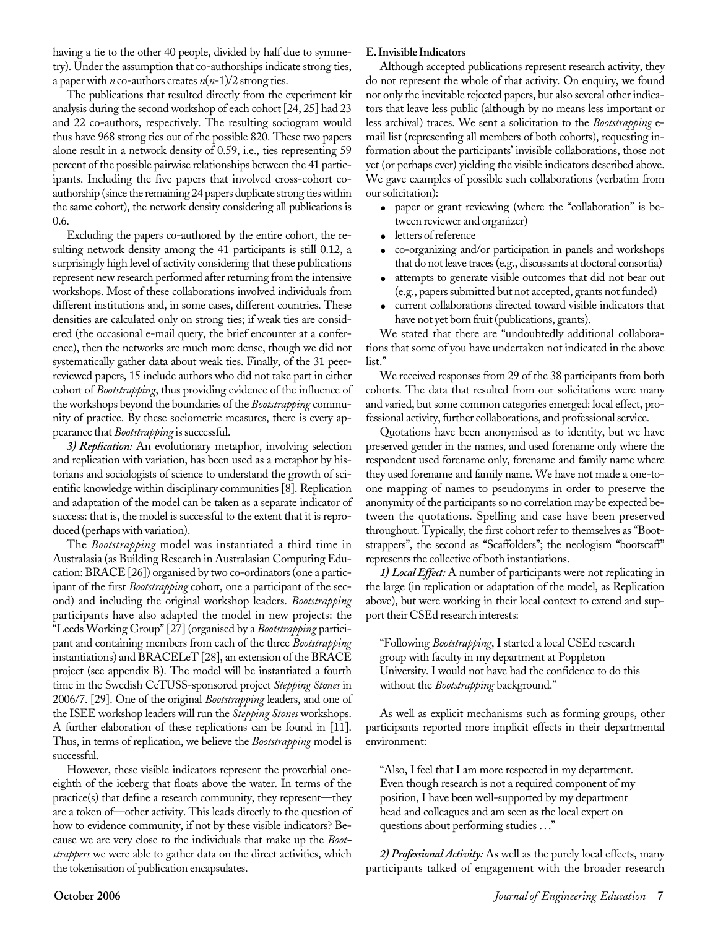having a tie to the other 40 people, divided by half due to symmetry). Under the assumption that co-authorships indicate strong ties, a paper with *n* co-authors creates *n*(*n*-1)/2 strong ties.

The publications that resulted directly from the experiment kit analysis during the second workshop of each cohort [24, 25] had 23 and 22 co-authors, respectively. The resulting sociogram would thus have 968 strong ties out of the possible 820. These two papers alone result in a network density of 0.59, i.e., ties representing 59 percent of the possible pairwise relationships between the 41 participants. Including the five papers that involved cross-cohort coauthorship (since the remaining 24 papers duplicate strong ties within the same cohort), the network density considering all publications is 0.6.

Excluding the papers co-authored by the entire cohort, the resulting network density among the 41 participants is still 0.12, a surprisingly high level of activity considering that these publications represent new research performed after returning from the intensive workshops. Most of these collaborations involved individuals from different institutions and, in some cases, different countries. These densities are calculated only on strong ties; if weak ties are considered (the occasional e-mail query, the brief encounter at a conference), then the networks are much more dense, though we did not systematically gather data about weak ties. Finally, of the 31 peerreviewed papers, 15 include authors who did not take part in either cohort of *Bootstrapping*, thus providing evidence of the influence of the workshops beyond the boundaries of the *Bootstrapping* community of practice. By these sociometric measures, there is every appearance that *Bootstrapping* is successful.

*3) Replication:* An evolutionary metaphor, involving selection and replication with variation, has been used as a metaphor by historians and sociologists of science to understand the growth of scientific knowledge within disciplinary communities [8]. Replication and adaptation of the model can be taken as a separate indicator of success: that is, the model is successful to the extent that it is reproduced (perhaps with variation).

The *Bootstrapping* model was instantiated a third time in Australasia (as Building Research in Australasian Computing Education: BRACE [26]) organised by two co-ordinators (one a participant of the first *Bootstrapping* cohort, one a participant of the second) and including the original workshop leaders. *Bootstrapping* participants have also adapted the model in new projects: the "Leeds Working Group" [27] (organised by a *Bootstrapping* participant and containing members from each of the three *Bootstrapping* instantiations) and BRACELeT [28], an extension of the BRACE project (see appendix B). The model will be instantiated a fourth time in the Swedish CeTUSS-sponsored project *Stepping Stones* in 2006/7. [29]. One of the original *Bootstrapping* leaders, and one of the ISEE workshop leaders will run the *Stepping Stones* workshops. A further elaboration of these replications can be found in [11]. Thus, in terms of replication, we believe the *Bootstrapping* model is successful.

However, these visible indicators represent the proverbial oneeighth of the iceberg that floats above the water. In terms of the practice(s) that define a research community, they represent—they are a token of—other activity. This leads directly to the question of how to evidence community, if not by these visible indicators? Because we are very close to the individuals that make up the *Bootstrappers* we were able to gather data on the direct activities, which the tokenisation of publication encapsulates.

#### **E. Invisible Indicators**

Although accepted publications represent research activity, they do not represent the whole of that activity. On enquiry, we found not only the inevitable rejected papers, but also several other indicators that leave less public (although by no means less important or less archival) traces. We sent a solicitation to the *Bootstrapping* email list (representing all members of both cohorts), requesting information about the participants' invisible collaborations, those not yet (or perhaps ever) yielding the visible indicators described above. We gave examples of possible such collaborations (verbatim from our solicitation):

- paper or grant reviewing (where the "collaboration" is between reviewer and organizer)
- letters of reference
- co-organizing and/or participation in panels and workshops that do not leave traces (e.g., discussants at doctoral consortia)
- attempts to generate visible outcomes that did not bear out (e.g., papers submitted but not accepted, grants not funded)
- current collaborations directed toward visible indicators that have not yet born fruit (publications, grants).

We stated that there are "undoubtedly additional collaborations that some of you have undertaken not indicated in the above list."

We received responses from 29 of the 38 participants from both cohorts. The data that resulted from our solicitations were many and varied, but some common categories emerged: local effect, professional activity, further collaborations, and professional service.

Quotations have been anonymised as to identity, but we have preserved gender in the names, and used forename only where the respondent used forename only, forename and family name where they used forename and family name. We have not made a one-toone mapping of names to pseudonyms in order to preserve the anonymity of the participants so no correlation may be expected between the quotations. Spelling and case have been preserved throughout. Typically, the first cohort refer to themselves as "Bootstrappers", the second as "Scaffolders"; the neologism "bootscaff" represents the collective of both instantiations.

*1) Local Effect:* A number of participants were not replicating in the large (in replication or adaptation of the model, as Replication above), but were working in their local context to extend and support their CSEd research interests:

"Following *Bootstrapping*, I started a local CSEd research group with faculty in my department at Poppleton University. I would not have had the confidence to do this without the *Bootstrapping* background."

As well as explicit mechanisms such as forming groups, other participants reported more implicit effects in their departmental environment:

"Also, I feel that I am more respected in my department. Even though research is not a required component of my position, I have been well-supported by my department head and colleagues and am seen as the local expert on questions about performing studies . . ."

*2) Professional Activity:* As well as the purely local effects, many participants talked of engagement with the broader research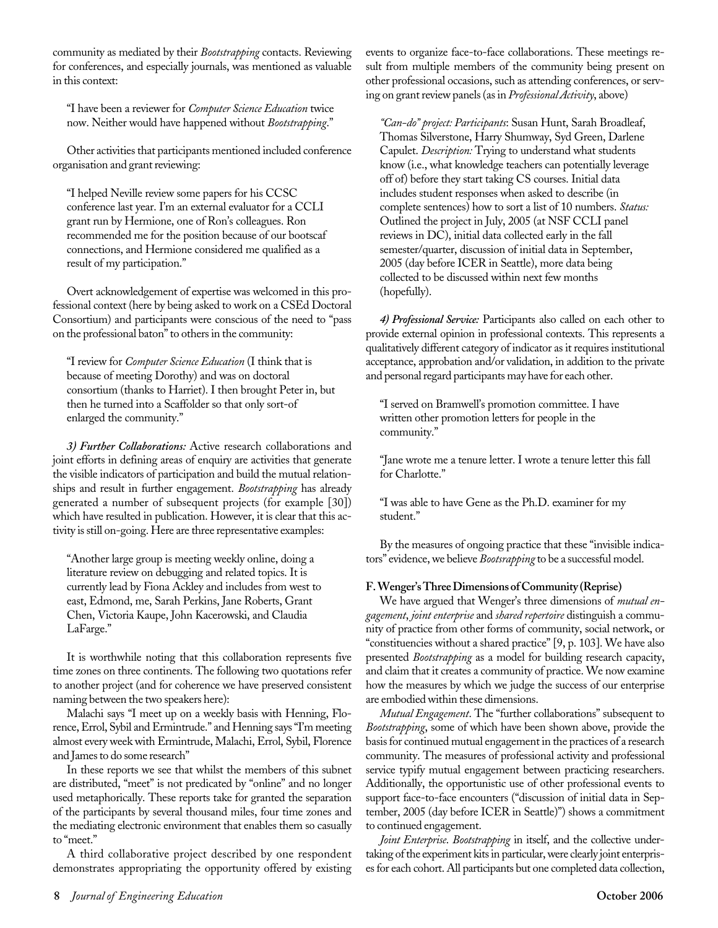community as mediated by their *Bootstrapping* contacts. Reviewing for conferences, and especially journals, was mentioned as valuable in this context:

"I have been a reviewer for *Computer Science Education* twice now. Neither would have happened without *Bootstrapping*."

Other activities that participants mentioned included conference organisation and grant reviewing:

"I helped Neville review some papers for his CCSC conference last year. I'm an external evaluator for a CCLI grant run by Hermione, one of Ron's colleagues. Ron recommended me for the position because of our bootscaf connections, and Hermione considered me qualified as a result of my participation."

Overt acknowledgement of expertise was welcomed in this professional context (here by being asked to work on a CSEd Doctoral Consortium) and participants were conscious of the need to "pass on the professional baton" to others in the community:

"I review for *Computer Science Education* (I think that is because of meeting Dorothy) and was on doctoral consortium (thanks to Harriet). I then brought Peter in, but then he turned into a Scaffolder so that only sort-of enlarged the community."

*3) Further Collaborations:* Active research collaborations and joint efforts in defining areas of enquiry are activities that generate the visible indicators of participation and build the mutual relationships and result in further engagement. *Bootstrapping* has already generated a number of subsequent projects (for example [30]) which have resulted in publication. However, it is clear that this activity is still on-going. Here are three representative examples:

"Another large group is meeting weekly online, doing a literature review on debugging and related topics. It is currently lead by Fiona Ackley and includes from west to east, Edmond, me, Sarah Perkins, Jane Roberts, Grant Chen, Victoria Kaupe, John Kacerowski, and Claudia LaFarge."

It is worthwhile noting that this collaboration represents five time zones on three continents. The following two quotations refer to another project (and for coherence we have preserved consistent naming between the two speakers here):

Malachi says "I meet up on a weekly basis with Henning, Florence, Errol, Sybil and Ermintrude." and Henning says "I'm meeting almost every week with Ermintrude, Malachi, Errol, Sybil, Florence and James to do some research"

In these reports we see that whilst the members of this subnet are distributed, "meet" is not predicated by "online" and no longer used metaphorically. These reports take for granted the separation of the participants by several thousand miles, four time zones and the mediating electronic environment that enables them so casually to "meet."

A third collaborative project described by one respondent demonstrates appropriating the opportunity offered by existing

events to organize face-to-face collaborations. These meetings result from multiple members of the community being present on other professional occasions, such as attending conferences, or serving on grant review panels (as in *Professional Activity*, above)

*"Can-do" project: Participants*: Susan Hunt, Sarah Broadleaf, Thomas Silverstone, Harry Shumway, Syd Green, Darlene Capulet. *Description:* Trying to understand what students know (i.e., what knowledge teachers can potentially leverage off of) before they start taking CS courses. Initial data includes student responses when asked to describe (in complete sentences) how to sort a list of 10 numbers. *Status:* Outlined the project in July, 2005 (at NSF CCLI panel reviews in DC), initial data collected early in the fall semester/quarter, discussion of initial data in September, 2005 (day before ICER in Seattle), more data being collected to be discussed within next few months (hopefully).

*4) Professional Service:* Participants also called on each other to provide external opinion in professional contexts. This represents a qualitatively different category of indicator as it requires institutional acceptance, approbation and/or validation, in addition to the private and personal regard participants may have for each other.

"I served on Bramwell's promotion committee. I have written other promotion letters for people in the community."

"Jane wrote me a tenure letter. I wrote a tenure letter this fall for Charlotte."

"I was able to have Gene as the Ph.D. examiner for my student."

By the measures of ongoing practice that these "invisible indicators" evidence, we believe *Bootsrapping* to be a successful model.

#### **F. Wenger's Three Dimensions of Community (Reprise)**

We have argued that Wenger's three dimensions of *mutual engagement*, *joint enterprise* and *shared repertoire* distinguish a community of practice from other forms of community, social network, or "constituencies without a shared practice" [9, p. 103]. We have also presented *Bootstrapping* as a model for building research capacity, and claim that it creates a community of practice. We now examine how the measures by which we judge the success of our enterprise are embodied within these dimensions.

*Mutual Engagement*. The "further collaborations" subsequent to *Bootstrapping*, some of which have been shown above, provide the basis for continued mutual engagement in the practices of a research community. The measures of professional activity and professional service typify mutual engagement between practicing researchers. Additionally, the opportunistic use of other professional events to support face-to-face encounters ("discussion of initial data in September, 2005 (day before ICER in Seattle)") shows a commitment to continued engagement.

*Joint Enterprise*. *Bootstrapping* in itself, and the collective undertaking of the experiment kits in particular, were clearly joint enterprises for each cohort. All participants but one completed data collection,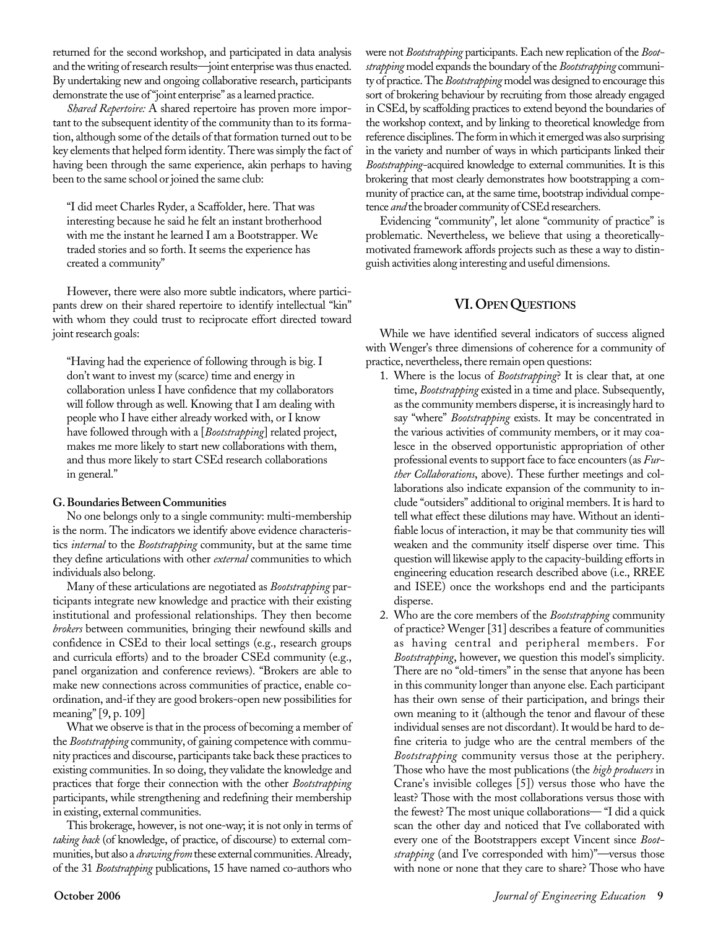returned for the second workshop, and participated in data analysis and the writing of research results—joint enterprise was thus enacted. By undertaking new and ongoing collaborative research, participants demonstrate the use of "joint enterprise" as a learned practice.

*Shared Repertoire:* A shared repertoire has proven more important to the subsequent identity of the community than to its formation, although some of the details of that formation turned out to be key elements that helped form identity. There was simply the fact of having been through the same experience, akin perhaps to having been to the same school or joined the same club:

"I did meet Charles Ryder, a Scaffolder, here. That was interesting because he said he felt an instant brotherhood with me the instant he learned I am a Bootstrapper. We traded stories and so forth. It seems the experience has created a community"

However, there were also more subtle indicators, where participants drew on their shared repertoire to identify intellectual "kin" with whom they could trust to reciprocate effort directed toward joint research goals:

"Having had the experience of following through is big. I don't want to invest my (scarce) time and energy in collaboration unless I have confidence that my collaborators will follow through as well. Knowing that I am dealing with people who I have either already worked with, or I know have followed through with a [*Bootstrapping*] related project, makes me more likely to start new collaborations with them, and thus more likely to start CSEd research collaborations in general."

#### **G. Boundaries Between Communities**

No one belongs only to a single community: multi-membership is the norm. The indicators we identify above evidence characteristics *internal* to the *Bootstrapping* community, but at the same time they define articulations with other *external* communities to which individuals also belong.

Many of these articulations are negotiated as *Bootstrapping* participants integrate new knowledge and practice with their existing institutional and professional relationships. They then become *brokers* between communities*,* bringing their newfound skills and confidence in CSEd to their local settings (e.g., research groups and curricula efforts) and to the broader CSEd community (e.g., panel organization and conference reviews). "Brokers are able to make new connections across communities of practice, enable coordination, and-if they are good brokers-open new possibilities for meaning" [9, p. 109]

What we observe is that in the process of becoming a member of the *Bootstrapping* community, of gaining competence with community practices and discourse, participants take back these practices to existing communities. In so doing, they validate the knowledge and practices that forge their connection with the other *Bootstrapping* participants, while strengthening and redefining their membership in existing, external communities.

This brokerage, however, is not one-way; it is not only in terms of *taking back* (of knowledge, of practice, of discourse) to external communities, but also a *drawing from* these external communities. Already, of the 31 *Bootstrapping* publications, 15 have named co-authors who

were not *Bootstrapping* participants. Each new replication of the *Bootstrapping* model expands the boundary of the *Bootstrapping* community of practice. The *Bootstrapping* model was designed to encourage this sort of brokering behaviour by recruiting from those already engaged in CSEd, by scaffolding practices to extend beyond the boundaries of the workshop context, and by linking to theoretical knowledge from reference disciplines. The form in which it emerged was also surprising in the variety and number of ways in which participants linked their *Bootstrapping-*acquired knowledge to external communities. It is this brokering that most clearly demonstrates how bootstrapping a community of practice can, at the same time, bootstrap individual competence *and* the broader community of CSEd researchers.

Evidencing "community", let alone "community of practice" is problematic. Nevertheless, we believe that using a theoreticallymotivated framework affords projects such as these a way to distinguish activities along interesting and useful dimensions.

#### **VI. OPENQUESTIONS**

While we have identified several indicators of success aligned with Wenger's three dimensions of coherence for a community of practice, nevertheless, there remain open questions:

- 1. Where is the locus of *Bootstrapping*? It is clear that, at one time, *Bootstrapping* existed in a time and place. Subsequently, as the community members disperse, it is increasingly hard to say "where" *Bootstrapping* exists. It may be concentrated in the various activities of community members, or it may coalesce in the observed opportunistic appropriation of other professional events to support face to face encounters (as *Further Collaborations*, above). These further meetings and collaborations also indicate expansion of the community to include "outsiders" additional to original members. It is hard to tell what effect these dilutions may have. Without an identifiable locus of interaction, it may be that community ties will weaken and the community itself disperse over time. This question will likewise apply to the capacity-building efforts in engineering education research described above (i.e., RREE and ISEE) once the workshops end and the participants disperse.
- 2. Who are the core members of the *Bootstrapping* community of practice? Wenger [31] describes a feature of communities as having central and peripheral members. For *Bootstrapping*, however, we question this model's simplicity. There are no "old-timers" in the sense that anyone has been in this community longer than anyone else. Each participant has their own sense of their participation, and brings their own meaning to it (although the tenor and flavour of these individual senses are not discordant). It would be hard to define criteria to judge who are the central members of the *Bootstrapping* community versus those at the periphery. Those who have the most publications (the *high producers* in Crane's invisible colleges [5]) versus those who have the least? Those with the most collaborations versus those with the fewest? The most unique collaborations— "I did a quick scan the other day and noticed that I've collaborated with every one of the Bootstrappers except Vincent since *Bootstrapping* (and I've corresponded with him)"—versus those with none or none that they care to share? Those who have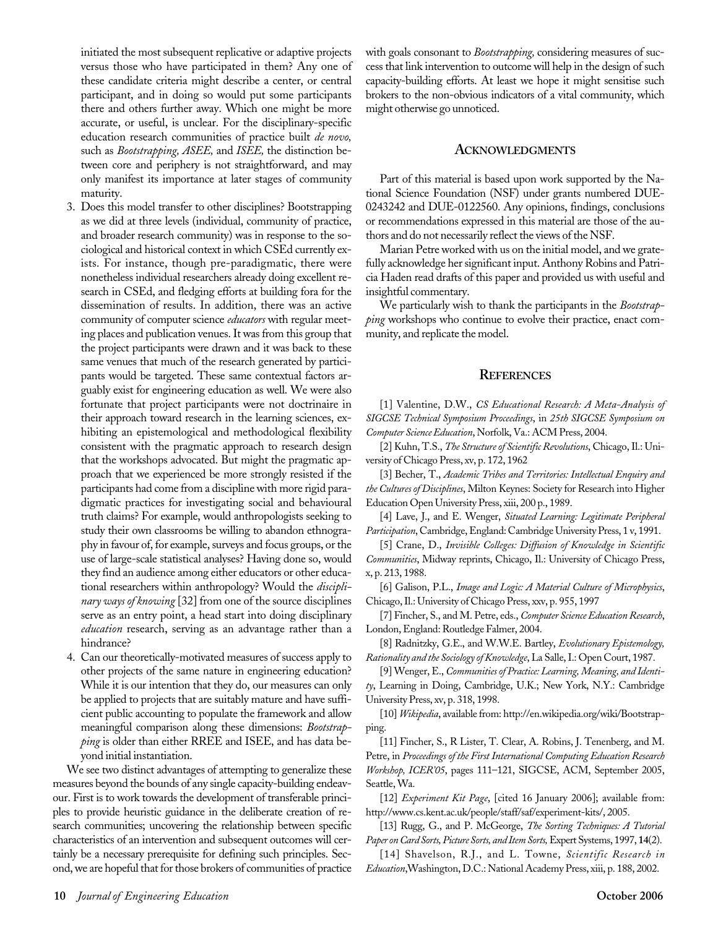initiated the most subsequent replicative or adaptive projects versus those who have participated in them? Any one of these candidate criteria might describe a center, or central participant, and in doing so would put some participants there and others further away. Which one might be more accurate, or useful, is unclear. For the disciplinary-specific education research communities of practice built *de novo,* such as *Bootstrapping, ASEE,* and *ISEE,* the distinction between core and periphery is not straightforward, and may only manifest its importance at later stages of community maturity.

- 3. Does this model transfer to other disciplines? Bootstrapping as we did at three levels (individual, community of practice, and broader research community) was in response to the sociological and historical context in which CSEd currently exists. For instance, though pre-paradigmatic, there were nonetheless individual researchers already doing excellent research in CSEd, and fledging efforts at building fora for the dissemination of results. In addition, there was an active community of computer science *educators* with regular meeting places and publication venues. It was from this group that the project participants were drawn and it was back to these same venues that much of the research generated by participants would be targeted. These same contextual factors arguably exist for engineering education as well. We were also fortunate that project participants were not doctrinaire in their approach toward research in the learning sciences, exhibiting an epistemological and methodological flexibility consistent with the pragmatic approach to research design that the workshops advocated. But might the pragmatic approach that we experienced be more strongly resisted if the participants had come from a discipline with more rigid paradigmatic practices for investigating social and behavioural truth claims? For example, would anthropologists seeking to study their own classrooms be willing to abandon ethnography in favour of, for example, surveys and focus groups, or the use of large-scale statistical analyses? Having done so, would they find an audience among either educators or other educational researchers within anthropology? Would the *disciplinary ways of knowing* [32] from one of the source disciplines serve as an entry point, a head start into doing disciplinary *education* research, serving as an advantage rather than a hindrance?
- 4. Can our theoretically-motivated measures of success apply to other projects of the same nature in engineering education? While it is our intention that they do, our measures can only be applied to projects that are suitably mature and have sufficient public accounting to populate the framework and allow meaningful comparison along these dimensions: *Bootstrapping* is older than either RREE and ISEE, and has data beyond initial instantiation.

We see two distinct advantages of attempting to generalize these measures beyond the bounds of any single capacity-building endeavour. First is to work towards the development of transferable principles to provide heuristic guidance in the deliberate creation of research communities; uncovering the relationship between specific characteristics of an intervention and subsequent outcomes will certainly be a necessary prerequisite for defining such principles. Second, we are hopeful that for those brokers of communities of practice with goals consonant to *Bootstrapping,* considering measures of success that link intervention to outcome will help in the design of such capacity-building efforts. At least we hope it might sensitise such brokers to the non-obvious indicators of a vital community, which might otherwise go unnoticed.

#### **ACKNOWLEDGMENTS**

Part of this material is based upon work supported by the National Science Foundation (NSF) under grants numbered DUE-0243242 and DUE-0122560. Any opinions, findings, conclusions or recommendations expressed in this material are those of the authors and do not necessarily reflect the views of the NSF.

Marian Petre worked with us on the initial model, and we gratefully acknowledge her significant input. Anthony Robins and Patricia Haden read drafts of this paper and provided us with useful and insightful commentary.

We particularly wish to thank the participants in the *Bootstrapping* workshops who continue to evolve their practice, enact community, and replicate the model.

#### **REFERENCES**

[1] Valentine, D.W., *CS Educational Research: A Meta-Analysis of SIGCSE Technical Symposium Proceedings*, in *25th SIGCSE Symposium on Computer Science Education*, Norfolk, Va.: ACM Press, 2004.

[2] Kuhn, T.S., *The Structure of Scientific Revolutions*, Chicago, Il.: University of Chicago Press, xv, p. 172, 1962

[3] Becher, T., *Academic Tribes and Territories: Intellectual Enquiry and the Cultures of Disciplines*, Milton Keynes: Society for Research into Higher Education Open University Press, xiii, 200 p., 1989.

[4] Lave, J., and E. Wenger, *Situated Learning: Legitimate Peripheral Participation*, Cambridge, England: Cambridge University Press, 1 v, 1991.

[5] Crane, D., *Invisible Colleges: Diffusion of Knowledge in Scientific Communities*, Midway reprints, Chicago, Il.: University of Chicago Press, x, p. 213, 1988.

[6] Galison, P.L., *Image and Logic: A Material Culture of Microphysics*, Chicago, Il.: University of Chicago Press, xxv, p. 955, 1997

[7] Fincher, S., and M. Petre, eds., *Computer Science Education Research*, London, England: Routledge Falmer, 2004.

[8] Radnitzky, G.E., and W.W.E. Bartley, *Evolutionary Epistemology, Rationality and the Sociology of Knowledge*, La Salle, I.: Open Court, 1987.

[9] Wenger, E., *Communities of Practice: Learning, Meaning, and Identity*, Learning in Doing, Cambridge, U.K.; New York, N.Y.: Cambridge University Press, xv, p. 318, 1998.

[10] *Wikipedia*, available from: http://en.wikipedia.org/wiki/Bootstrapping.

[11] Fincher, S., R Lister, T. Clear, A. Robins, J. Tenenberg, and M. Petre, in *Proceedings of the First International Computing Education Research Workshop, ICER'05*, pages 111–121, SIGCSE, ACM, September 2005, Seattle, Wa.

[12] *Experiment Kit Page*, [cited 16 January 2006]; available from: http://www.cs.kent.ac.uk/people/staff/saf/experiment-kits/, 2005.

[13] Rugg, G., and P. McGeorge, *The Sorting Techniques: A Tutorial Paper on Card Sorts, Picture Sorts, and Item Sorts,*Expert Systems, 1997, **14**(2).

[14] Shavelson, R.J., and L. Towne, *Scientific Research in Education*,Washington, D.C.: National Academy Press, xiii, p. 188, 2002.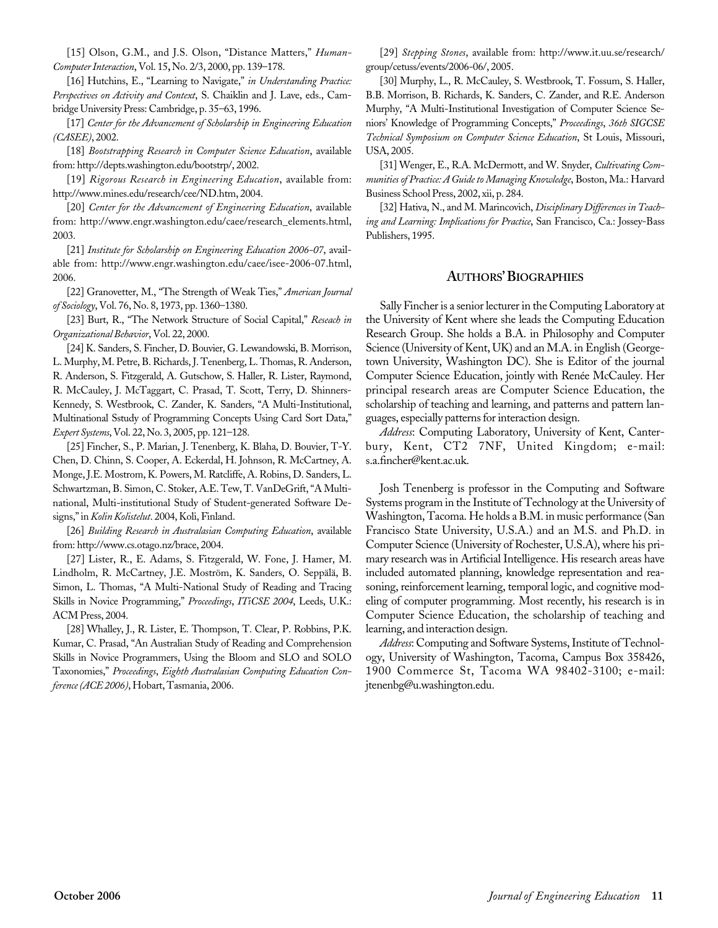[15] Olson, G.M., and J.S. Olson, "Distance Matters," *Human-Computer Interaction*, Vol. 15**,** No. 2/3, 2000, pp. 139–178.

[16] Hutchins, E., "Learning to Navigate," *in Understanding Practice: Perspectives on Activity and Context*, S. Chaiklin and J. Lave, eds., Cambridge University Press: Cambridge, p. 35–63, 1996.

[17] *Center for the Advancement of Scholarship in Engineering Education (CASEE)*, 2002.

[18] *Bootstrapping Research in Computer Science Education*, available from: http://depts.washington.edu/bootstrp/, 2002.

[19] *Rigorous Research in Engineering Education*, available from: http://www.mines.edu/research/cee/ND.htm, 2004.

[20] *Center for the Advancement of Engineering Education*, available from: http://www.engr.washington.edu/caee/research\_elements.html, 2003.

[21] *Institute for Scholarship on Engineering Education 2006-07*, available from: http://www.engr.washington.edu/caee/isee-2006-07.html, 2006.

[22] Granovetter, M., "The Strength of Weak Ties," *American Journal of Sociology*, Vol. 76, No. 8, 1973, pp. 1360–1380.

[23] Burt, R., "The Network Structure of Social Capital," *Reseach in Organizational Behavior*, Vol. 22, 2000.

[24] K. Sanders, S. Fincher, D. Bouvier, G. Lewandowski, B. Morrison, L. Murphy, M. Petre, B. Richards, J. Tenenberg, L. Thomas, R. Anderson, R. Anderson, S. Fitzgerald, A. Gutschow, S. Haller, R. Lister, Raymond, R. McCauley, J. McTaggart, C. Prasad, T. Scott, Terry, D. Shinners-Kennedy, S. Westbrook, C. Zander, K. Sanders, "A Multi-Institutional, Multinational Sstudy of Programming Concepts Using Card Sort Data," *Expert Systems*, Vol. 22, No.3, 2005, pp. 121–128.

[25] Fincher, S., P. Marian, J. Tenenberg, K. Blaha, D. Bouvier, T-Y. Chen, D. Chinn, S. Cooper, A. Eckerdal, H. Johnson, R. McCartney, A. Monge, J.E. Mostrom, K. Powers, M. Ratcliffe, A. Robins, D. Sanders, L. Schwartzman, B. Simon, C. Stoker, A.E. Tew, T. VanDeGrift, "A Multinational, Multi-institutional Study of Student-generated Software Designs," in *Kolin Kolistelut*. 2004, Koli, Finland.

[26] *Building Research in Australasian Computing Education*, available from: http://www.cs.otago.nz/brace, 2004.

[27] Lister, R., E. Adams, S. Fitzgerald, W. Fone, J. Hamer, M. Lindholm, R. McCartney, J.E. Moström, K. Sanders, O. Seppälä, B. Simon, L. Thomas, "A Multi-National Study of Reading and Tracing Skills in Novice Programming," *Proceedings*, *ITiCSE 2004*, Leeds, U.K.: ACM Press, 2004.

[28] Whalley, J., R. Lister, E. Thompson, T. Clear, P. Robbins, P.K. Kumar, C. Prasad, "An Australian Study of Reading and Comprehension Skills in Novice Programmers, Using the Bloom and SLO and SOLO Taxonomies," *Proceedings*, *Eighth Australasian Computing Education Conference (ACE 2006)*, Hobart, Tasmania, 2006.

[29] *Stepping Stones*, available from: http://www.it.uu.se/research/ group/cetuss/events/2006-06/, 2005.

[30] Murphy, L., R. McCauley, S. Westbrook, T. Fossum, S. Haller, B.B. Morrison, B. Richards, K. Sanders, C. Zander, and R.E. Anderson Murphy, "A Multi-Institutional Investigation of Computer Science Seniors' Knowledge of Programming Concepts," *Proceedings*, *36th SIGCSE Technical Symposium on Computer Science Education*, St Louis, Missouri, USA, 2005.

[31] Wenger, E., R.A. McDermott, and W. Snyder, *Cultivating Communities of Practice: A Guide to Managing Knowledge*, Boston, Ma.: Harvard Business School Press, 2002, xii, p. 284.

[32] Hativa, N., and M. Marincovich, *Disciplinary Differences in Teaching and Learning: Implications for Practice*, San Francisco, Ca.: Jossey-Bass Publishers, 1995.

#### **AUTHORS' BIOGRAPHIES**

Sally Fincher is a senior lecturer in the Computing Laboratory at the University of Kent where she leads the Computing Education Research Group. She holds a B.A. in Philosophy and Computer Science (University of Kent, UK) and an M.A. in English (Georgetown University, Washington DC). She is Editor of the journal Computer Science Education, jointly with Renée McCauley. Her principal research areas are Computer Science Education, the scholarship of teaching and learning, and patterns and pattern languages, especially patterns for interaction design.

*Address*: Computing Laboratory, University of Kent, Canterbury, Kent, CT2 7NF, United Kingdom; e-mail: s.a.fincher@kent.ac.uk.

Josh Tenenberg is professor in the Computing and Software Systems program in the Institute of Technology at the University of Washington, Tacoma. He holds a B.M. in music performance (San Francisco State University, U.S.A.) and an M.S. and Ph.D. in Computer Science (University of Rochester, U.S.A), where his primary research was in Artificial Intelligence. His research areas have included automated planning, knowledge representation and reasoning, reinforcement learning, temporal logic, and cognitive modeling of computer programming. Most recently, his research is in Computer Science Education, the scholarship of teaching and learning, and interaction design.

*Address*: Computing and Software Systems, Institute of Technology, University of Washington, Tacoma, Campus Box 358426, 1900 Commerce St, Tacoma WA 98402-3100; e-mail: jtenenbg@u.washington.edu.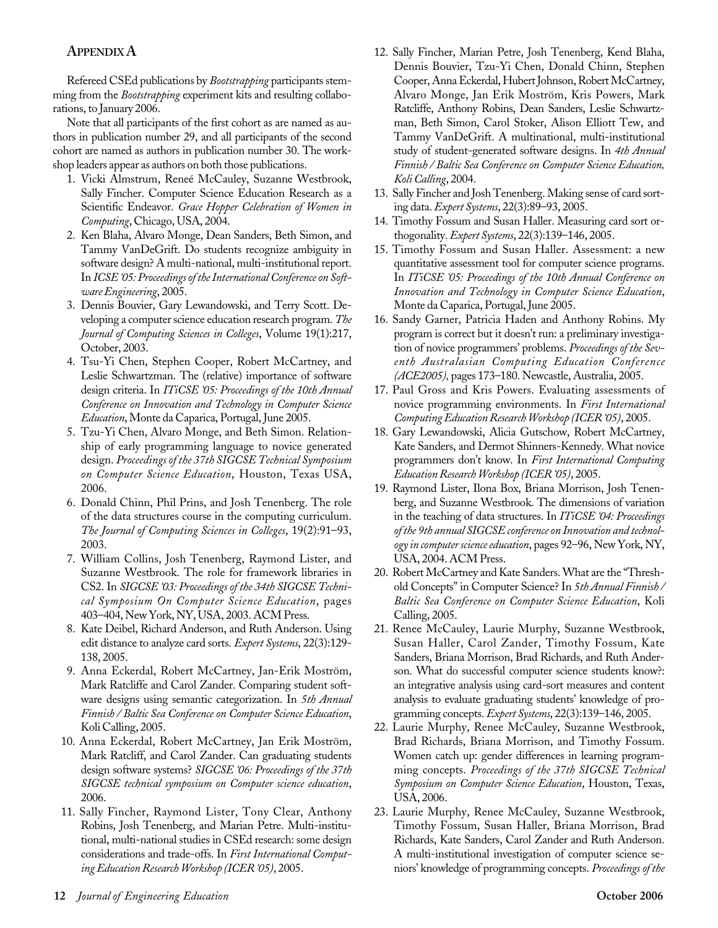#### **APPENDIXA**

Refereed CSEd publications by *Bootstrapping* participants stemming from the *Bootstrapping* experiment kits and resulting collaborations, to January 2006.

Note that all participants of the first cohort as are named as authors in publication number 29, and all participants of the second cohort are named as authors in publication number 30. The workshop leaders appear as authors on both those publications.

- 1. Vicki Almstrum, Reneé McCauley, Suzanne Westbrook, Sally Fincher. Computer Science Education Research as a Scientific Endeavor. *Grace Hopper Celebration of Women in Computing*, Chicago, USA, 2004.
- 2. Ken Blaha, Alvaro Monge, Dean Sanders, Beth Simon, and Tammy VanDeGrift. Do students recognize ambiguity in software design? A multi-national, multi-institutional report. In *ICSE '05: Proceedings of the International Conference on Software Engineering*, 2005.
- 3. Dennis Bouvier, Gary Lewandowski, and Terry Scott. Developing a computer science education research program. *The Journal of Computing Sciences in Colleges*, Volume 19(1):217, October, 2003.
- 4. Tsu-Yi Chen, Stephen Cooper, Robert McCartney, and Leslie Schwartzman. The (relative) importance of software design criteria. In *ITiCSE '05: Proceedings of the 10th Annual Conference on Innovation and Technology in Computer Science Education*, Monte da Caparica, Portugal, June 2005.
- 5. Tzu-Yi Chen, Alvaro Monge, and Beth Simon. Relationship of early programming language to novice generated design. *Proceedings of the 37th SIGCSE Technical Symposium on Computer Science Education*, Houston, Texas USA, 2006.
- 6. Donald Chinn, Phil Prins, and Josh Tenenberg. The role of the data structures course in the computing curriculum. *The Journal of Computing Sciences in Colleges*, 19(2):91–93, 2003.
- 7. William Collins, Josh Tenenberg, Raymond Lister, and Suzanne Westbrook. The role for framework libraries in CS2. In *SIGCSE '03: Proceedings of the 34th SIGCSE Technical Symposium On Computer Science Education*, pages 403–404, New York, NY, USA, 2003. ACM Press.
- 8. Kate Deibel, Richard Anderson, and Ruth Anderson. Using edit distance to analyze card sorts. *Expert Systems*, 22(3):129- 138, 2005.
- 9. Anna Eckerdal, Robert McCartney, Jan-Erik Moström, Mark Ratcliffe and Carol Zander. Comparing student software designs using semantic categorization. In *5th Annual Finnish / Baltic Sea Conference on Computer Science Education*, Koli Calling, 2005.
- 10. Anna Eckerdal, Robert McCartney, Jan Erik Moström, Mark Ratcliff, and Carol Zander. Can graduating students design software systems? *SIGCSE '06: Proceedings of the 37th SIGCSE technical symposium on Computer science education*, 2006.
- 11. Sally Fincher, Raymond Lister, Tony Clear, Anthony Robins, Josh Tenenberg, and Marian Petre. Multi-institutional, multi-national studies in CSEd research: some design considerations and trade-offs. In *First International Computing Education Research Workshop (ICER '05)*, 2005.
- 12. Sally Fincher, Marian Petre, Josh Tenenberg, Kend Blaha, Dennis Bouvier, Tzu-Yi Chen, Donald Chinn, Stephen Cooper, Anna Eckerdal, Hubert Johnson, Robert McCartney, Alvaro Monge, Jan Erik Moström, Kris Powers, Mark Ratcliffe, Anthony Robins, Dean Sanders, Leslie Schwartzman, Beth Simon, Carol Stoker, Alison Elliott Tew, and Tammy VanDeGrift. A multinational, multi-institutional study of student-generated software designs. In *4th Annual Finnish / Baltic Sea Conference on Computer Science Education, Koli Calling*, 2004.
- 13. Sally Fincher and Josh Tenenberg. Making sense of card sorting data. *Expert Systems*, 22(3):89–93, 2005.
- 14. Timothy Fossum and Susan Haller. Measuring card sort orthogonality. *Expert Systems*, 22(3):139–146, 2005.
- 15. Timothy Fossum and Susan Haller. Assessment: a new quantitative assessment tool for computer science programs. In *ITiCSE '05: Proceedings of the 10th Annual Conference on Innovation and Technology in Computer Science Education*, Monte da Caparica, Portugal, June 2005.
- 16. Sandy Garner, Patricia Haden and Anthony Robins. My program is correct but it doesn't run: a preliminary investigation of novice programmers' problems. *Proceedings of the Seventh Australasian Computing Education Conference (ACE2005),* pages 173–180. Newcastle, Australia, 2005.
- 17. Paul Gross and Kris Powers. Evaluating assessments of novice programming environments. In *First International Computing Education Research Workshop (ICER '05)*, 2005.
- 18. Gary Lewandowski, Alicia Gutschow, Robert McCartney, Kate Sanders, and Dermot Shinners-Kennedy. What novice programmers don't know. In *First International Computing Education Research Workshop (ICER '05)*, 2005.
- 19. Raymond Lister, Ilona Box, Briana Morrison, Josh Tenenberg, and Suzanne Westbrook. The dimensions of variation in the teaching of data structures. In *ITiCSE '04: Proceedings of the 9th annual SIGCSE conference on Innovation and technology in computer science education*, pages 92–96, New York, NY, USA, 2004. ACM Press.
- 20. Robert McCartney and Kate Sanders. What are the "Threshold Concepts" in Computer Science? In *5th Annual Finnish / Baltic Sea Conference on Computer Science Education*, Koli Calling, 2005.
- 21. Renee McCauley, Laurie Murphy, Suzanne Westbrook, Susan Haller, Carol Zander, Timothy Fossum, Kate Sanders, Briana Morrison, Brad Richards, and Ruth Anderson. What do successful computer science students know?: an integrative analysis using card-sort measures and content analysis to evaluate graduating students' knowledge of programming concepts. *Expert Systems*, 22(3):139–146, 2005.
- 22. Laurie Murphy, Renee McCauley, Suzanne Westbrook, Brad Richards, Briana Morrison, and Timothy Fossum. Women catch up: gender differences in learning programming concepts. *Proceedings of the 37th SIGCSE Technical Symposium on Computer Science Education*, Houston, Texas, USA, 2006.
- 23. Laurie Murphy, Renee McCauley, Suzanne Westbrook, Timothy Fossum, Susan Haller, Briana Morrison, Brad Richards, Kate Sanders, Carol Zander and Ruth Anderson. A multi-institutional investigation of computer science seniors' knowledge of programming concepts. *Proceedings of the*